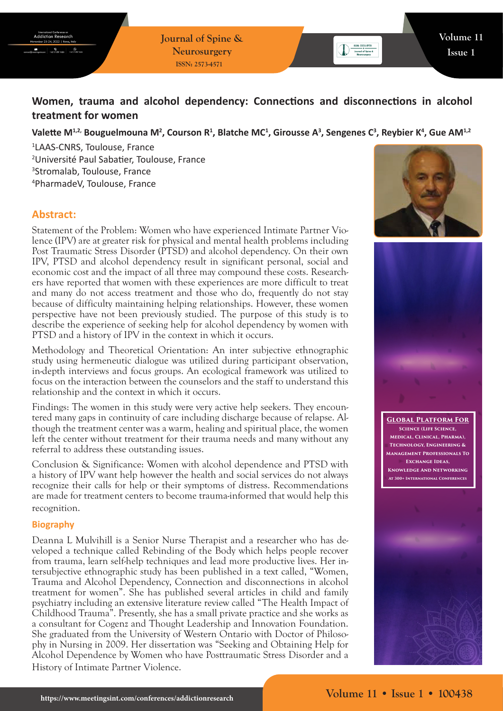**Journal of Spine & Neurosurgery ISSN: 2573-4571**

# **Women, trauma and alcohol dependency: Connections and disconnections in alcohol treatment for women**

## Valette M<sup>1,2,</sup> Bouguelmouna M<sup>2</sup>, Courson R<sup>1</sup>, Blatche MC<sup>1</sup>, Girousse A<sup>3</sup>, Sengenes C<sup>3</sup>, Reybier K<sup>4</sup>, Gue AM<sup>1,2</sup>

 LAAS-CNRS, Toulouse, France Université Paul Sabatier, Toulouse, France Stromalab, Toulouse, France PharmadeV, Toulouse, France

# **Abstract:**

Statement of the Problem: Women who have experienced Intimate Partner Violence (IPV) are at greater risk for physical and mental health problems including Post Traumatic Stress Disorder (PTSD) and alcohol dependency. On their own IPV, PTSD and alcohol dependency result in significant personal, social and economic cost and the impact of all three may compound these costs. Researchers have reported that women with these experiences are more difficult to treat and many do not access treatment and those who do, frequently do not stay because of difficulty maintaining helping relationships. However, these women perspective have not been previously studied. The purpose of this study is to describe the experience of seeking help for alcohol dependency by women with PTSD and a history of IPV in the context in which it occurs.

Methodology and Theoretical Orientation: An inter subjective ethnographic study using hermeneutic dialogue was utilized during participant observation, in-depth interviews and focus groups. An ecological framework was utilized to focus on the interaction between the counselors and the staff to understand this relationship and the context in which it occurs.

Findings: The women in this study were very active help seekers. They encountered many gaps in continuity of care including discharge because of relapse. Although the treatment center was a warm, healing and spiritual place, the women left the center without treatment for their trauma needs and many without any referral to address these outstanding issues.

Conclusion & Significance: Women with alcohol dependence and PTSD with a history of IPV want help however the health and social services do not always recognize their calls for help or their symptoms of distress. Recommendations are made for treatment centers to become trauma-informed that would help this recognition.

#### **Biography**

Deanna L Mulvihill is a Senior Nurse Therapist and a researcher who has developed a technique called Rebinding of the Body which helps people recover from trauma, learn self-help techniques and lead more productive lives. Her intersubjective ethnographic study has been published in a text called, "Women, Trauma and Alcohol Dependency, Connection and disconnections in alcohol treatment for women". She has published several articles in child and family psychiatry including an extensive literature review called "The Health Impact of Childhood Trauma". Presently, she has a small private practice and she works as a consultant for Cogenz and Thought Leadership and Innovation Foundation. She graduated from the University of Western Ontario with Doctor of Philosophy in Nursing in 2009. Her dissertation was "Seeking and Obtaining Help for Alcohol Dependence by Women who have Posttraumatic Stress Disorder and a History of Intimate Partner Violence.





**Global Platform For Science (Life Science, Medical, Clinical, Pharma), Technology, Engineering & Management Professionals To Exchange Ideas, Knowledge And Networking At 300+ International Conferences**